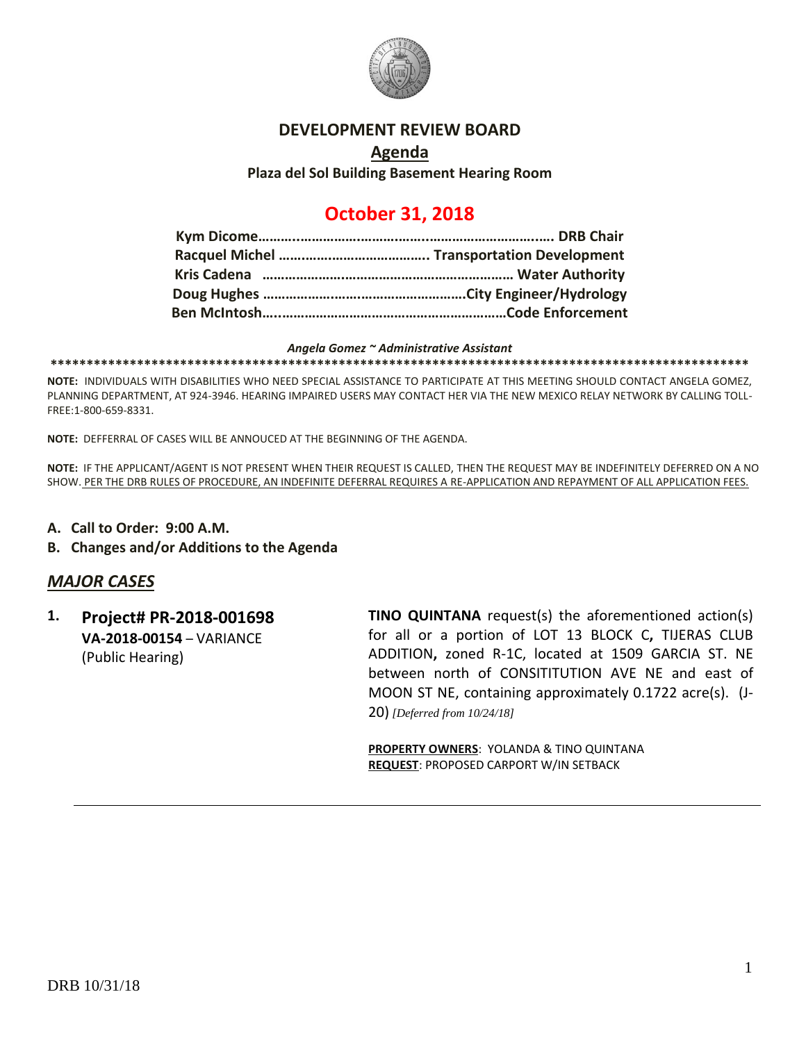

## **DEVELOPMENT REVIEW BOARD**

# **Agenda Plaza del Sol Building Basement Hearing Room**

# **October 31, 2018**

#### *Angela Gomez ~ Administrative Assistant*

**\*\*\*\*\*\*\*\*\*\*\*\*\*\*\*\*\*\*\*\*\*\*\*\*\*\*\*\*\*\*\*\*\*\*\*\*\*\*\*\*\*\*\*\*\*\*\*\*\*\*\*\*\*\*\*\*\*\*\*\*\*\*\*\*\*\*\*\*\*\*\*\*\*\*\*\*\*\*\*\*\*\*\*\*\*\*\*\*\*\*\*\*\*\*\*\*\***

**NOTE:** INDIVIDUALS WITH DISABILITIES WHO NEED SPECIAL ASSISTANCE TO PARTICIPATE AT THIS MEETING SHOULD CONTACT ANGELA GOMEZ, PLANNING DEPARTMENT, AT 924-3946. HEARING IMPAIRED USERS MAY CONTACT HER VIA THE NEW MEXICO RELAY NETWORK BY CALLING TOLL-FREE:1-800-659-8331.

**NOTE:** DEFFERRAL OF CASES WILL BE ANNOUCED AT THE BEGINNING OF THE AGENDA.

**NOTE:** IF THE APPLICANT/AGENT IS NOT PRESENT WHEN THEIR REQUEST IS CALLED, THEN THE REQUEST MAY BE INDEFINITELY DEFERRED ON A NO SHOW. PER THE DRB RULES OF PROCEDURE, AN INDEFINITE DEFERRAL REQUIRES A RE-APPLICATION AND REPAYMENT OF ALL APPLICATION FEES.

- **A. Call to Order: 9:00 A.M.**
- **B. Changes and/or Additions to the Agenda**

# *MAJOR CASES*

**1. Project# PR-2018-001698 VA-2018-00154** – VARIANCE (Public Hearing)

**TINO QUINTANA** request(s) the aforementioned action(s) for all or a portion of LOT 13 BLOCK C**,** TIJERAS CLUB ADDITION**,** zoned R-1C, located at 1509 GARCIA ST. NE between north of CONSITITUTION AVE NE and east of MOON ST NE, containing approximately 0.1722 acre(s). (J-20) *[Deferred from 10/24/18]*

**PROPERTY OWNERS**: YOLANDA & TINO QUINTANA **REQUEST**: PROPOSED CARPORT W/IN SETBACK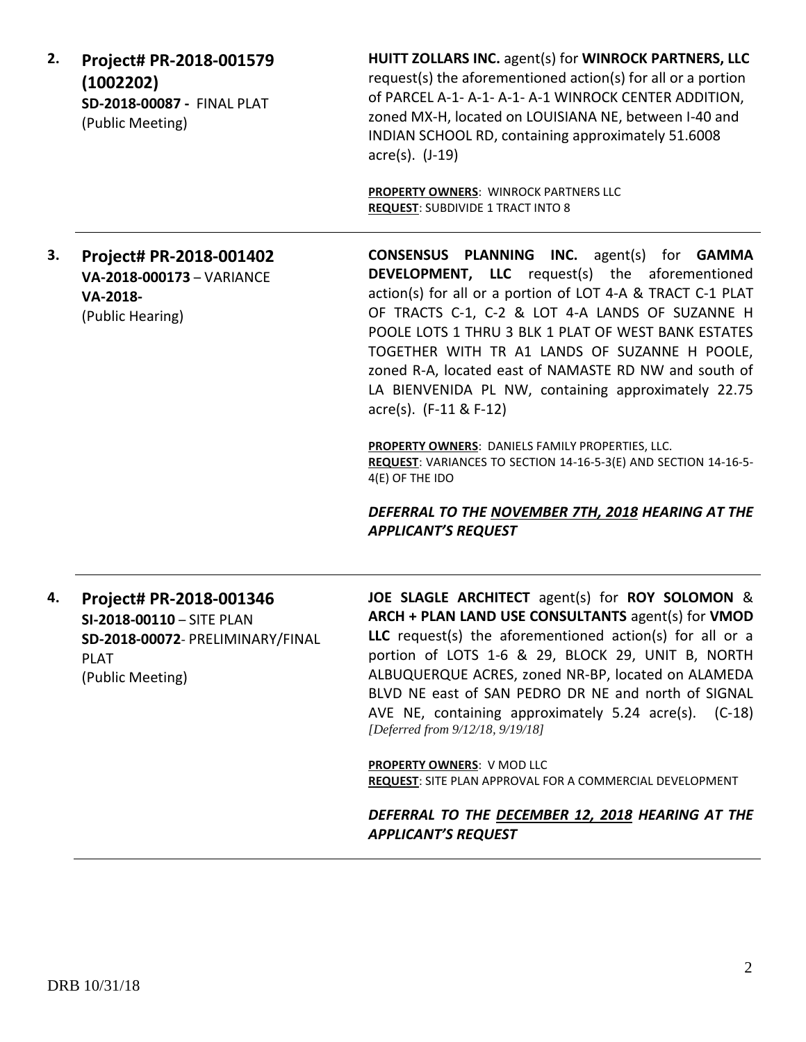| 2. | Project# PR-2018-001579<br>(1002202)<br>SD-2018-00087 - FINAL PLAT<br>(Public Meeting)                                      | HUITT ZOLLARS INC. agent(s) for WINROCK PARTNERS, LLC<br>request(s) the aforementioned action(s) for all or a portion<br>of PARCEL A-1- A-1- A-1- A-1 WINROCK CENTER ADDITION,<br>zoned MX-H, located on LOUISIANA NE, between I-40 and<br>INDIAN SCHOOL RD, containing approximately 51.6008<br>$\arccos(5)$ . (J-19)                                                                                                                                                                                                                                                                                                                                                                                            |
|----|-----------------------------------------------------------------------------------------------------------------------------|-------------------------------------------------------------------------------------------------------------------------------------------------------------------------------------------------------------------------------------------------------------------------------------------------------------------------------------------------------------------------------------------------------------------------------------------------------------------------------------------------------------------------------------------------------------------------------------------------------------------------------------------------------------------------------------------------------------------|
|    |                                                                                                                             | PROPERTY OWNERS: WINROCK PARTNERS LLC<br><b>REQUEST: SUBDIVIDE 1 TRACT INTO 8</b>                                                                                                                                                                                                                                                                                                                                                                                                                                                                                                                                                                                                                                 |
| 3. | Project# PR-2018-001402<br>VA-2018-000173 - VARIANCE<br>VA-2018-<br>(Public Hearing)                                        | <b>CONSENSUS PLANNING INC.</b> agent(s) for <b>GAMMA</b><br><b>DEVELOPMENT, LLC</b> request(s) the aforementioned<br>action(s) for all or a portion of LOT 4-A & TRACT C-1 PLAT<br>OF TRACTS C-1, C-2 & LOT 4-A LANDS OF SUZANNE H<br>POOLE LOTS 1 THRU 3 BLK 1 PLAT OF WEST BANK ESTATES<br>TOGETHER WITH TR A1 LANDS OF SUZANNE H POOLE,<br>zoned R-A, located east of NAMASTE RD NW and south of<br>LA BIENVENIDA PL NW, containing approximately 22.75<br>acre(s). (F-11 & F-12)<br>PROPERTY OWNERS: DANIELS FAMILY PROPERTIES, LLC.<br>REQUEST: VARIANCES TO SECTION 14-16-5-3(E) AND SECTION 14-16-5-<br>4(E) OF THE IDO<br>DEFERRAL TO THE NOVEMBER 7TH, 2018 HEARING AT THE<br><b>APPLICANT'S REQUEST</b> |
| 4. | Project# PR-2018-001346<br>SI-2018-00110 - SITE PLAN<br>SD-2018-00072- PRELIMINARY/FINAL<br><b>PLAT</b><br>(Public Meeting) | JOE SLAGLE ARCHITECT agent(s) for ROY SOLOMON &<br>ARCH + PLAN LAND USE CONSULTANTS agent(s) for VMOD<br>LLC request(s) the aforementioned action(s) for all or a<br>portion of LOTS 1-6 & 29, BLOCK 29, UNIT B, NORTH<br>ALBUQUERQUE ACRES, zoned NR-BP, located on ALAMEDA<br>BLVD NE east of SAN PEDRO DR NE and north of SIGNAL<br>AVE NE, containing approximately 5.24 acre(s). (C-18)<br>[Deferred from 9/12/18, 9/19/18]<br><b>PROPERTY OWNERS: V MOD LLC</b><br><b>REQUEST:</b> SITE PLAN APPROVAL FOR A COMMERCIAL DEVELOPMENT<br>DEFERRAL TO THE DECEMBER 12, 2018 HEARING AT THE<br><b>APPLICANT'S REQUEST</b>                                                                                        |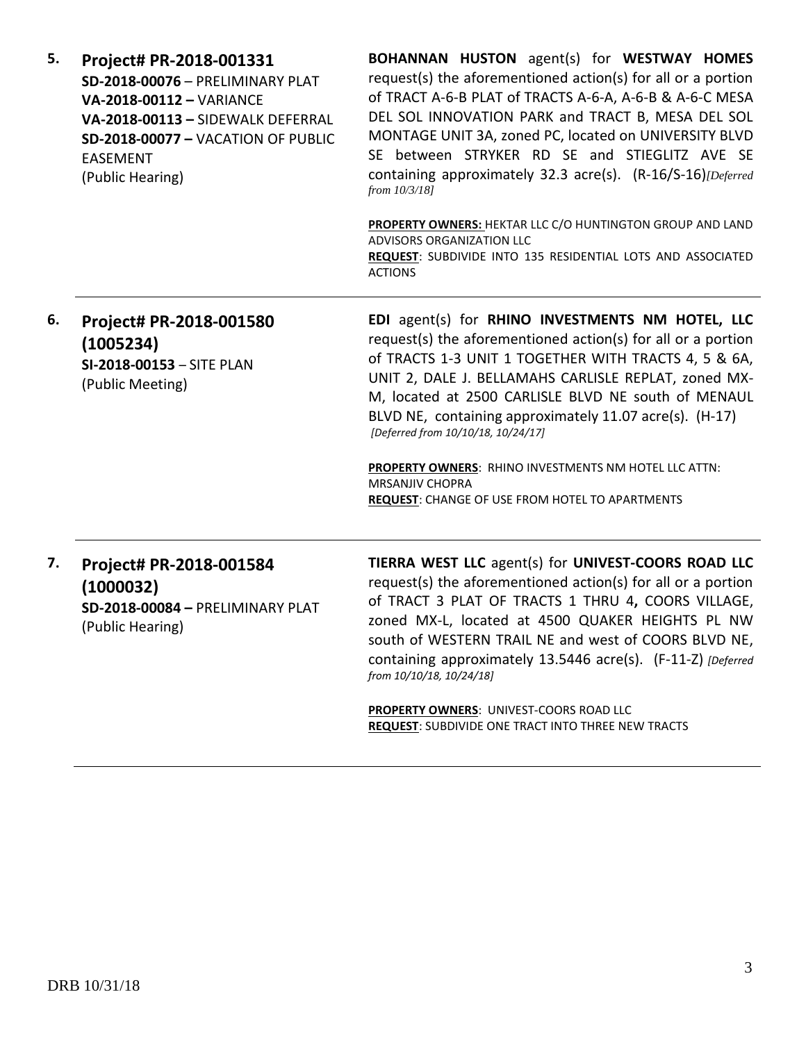| 5. | Project# PR-2018-001331<br>SD-2018-00076 - PRELIMINARY PLAT<br>VA-2018-00112 - VARIANCE<br>VA-2018-00113 - SIDEWALK DEFERRAL<br><b>SD-2018-00077 - VACATION OF PUBLIC</b><br>EASEMENT<br>(Public Hearing) | <b>BOHANNAN HUSTON</b> agent(s) for WESTWAY HOMES<br>request(s) the aforementioned action(s) for all or a portion<br>of TRACT A-6-B PLAT of TRACTS A-6-A, A-6-B & A-6-C MESA<br>DEL SOL INNOVATION PARK and TRACT B, MESA DEL SOL<br>MONTAGE UNIT 3A, zoned PC, located on UNIVERSITY BLVD<br>SE between STRYKER RD SE and STIEGLITZ AVE SE<br>containing approximately 32.3 acre(s). (R-16/S-16)[Deferred<br>from 10/3/18]                                                                                                           |
|----|-----------------------------------------------------------------------------------------------------------------------------------------------------------------------------------------------------------|---------------------------------------------------------------------------------------------------------------------------------------------------------------------------------------------------------------------------------------------------------------------------------------------------------------------------------------------------------------------------------------------------------------------------------------------------------------------------------------------------------------------------------------|
|    |                                                                                                                                                                                                           | PROPERTY OWNERS: HEKTAR LLC C/O HUNTINGTON GROUP AND LAND<br>ADVISORS ORGANIZATION LLC<br>REQUEST: SUBDIVIDE INTO 135 RESIDENTIAL LOTS AND ASSOCIATED<br><b>ACTIONS</b>                                                                                                                                                                                                                                                                                                                                                               |
| 6. | Project# PR-2018-001580<br>(1005234)<br>SI-2018-00153 - SITE PLAN<br>(Public Meeting)                                                                                                                     | EDI agent(s) for RHINO INVESTMENTS NM HOTEL, LLC<br>request(s) the aforementioned action(s) for all or a portion<br>of TRACTS 1-3 UNIT 1 TOGETHER WITH TRACTS 4, 5 & 6A,<br>UNIT 2, DALE J. BELLAMAHS CARLISLE REPLAT, zoned MX-<br>M, located at 2500 CARLISLE BLVD NE south of MENAUL<br>BLVD NE, containing approximately 11.07 acre(s). (H-17)<br>[Deferred from 10/10/18, 10/24/17]<br>PROPERTY OWNERS: RHINO INVESTMENTS NM HOTEL LLC ATTN:<br><b>MRSANJIV CHOPRA</b><br><b>REQUEST:</b> CHANGE OF USE FROM HOTEL TO APARTMENTS |
| 7. | Project# PR-2018-001584<br>(1000032)<br>SD-2018-00084 - PRELIMINARY PLAT<br>(Public Hearing)                                                                                                              | TIERRA WEST LLC agent(s) for UNIVEST-COORS ROAD LLC<br>request(s) the aforementioned action(s) for all or a portion<br>of TRACT 3 PLAT OF TRACTS 1 THRU 4, COORS VILLAGE,<br>zoned MX-L, located at 4500 QUAKER HEIGHTS PL NW<br>south of WESTERN TRAIL NE and west of COORS BLVD NE,<br>containing approximately 13.5446 acre(s). (F-11-Z) [Deferred<br>from 10/10/18, 10/24/18]<br>PROPERTY OWNERS: UNIVEST-COORS ROAD LLC<br><b>REQUEST: SUBDIVIDE ONE TRACT INTO THREE NEW TRACTS</b>                                             |